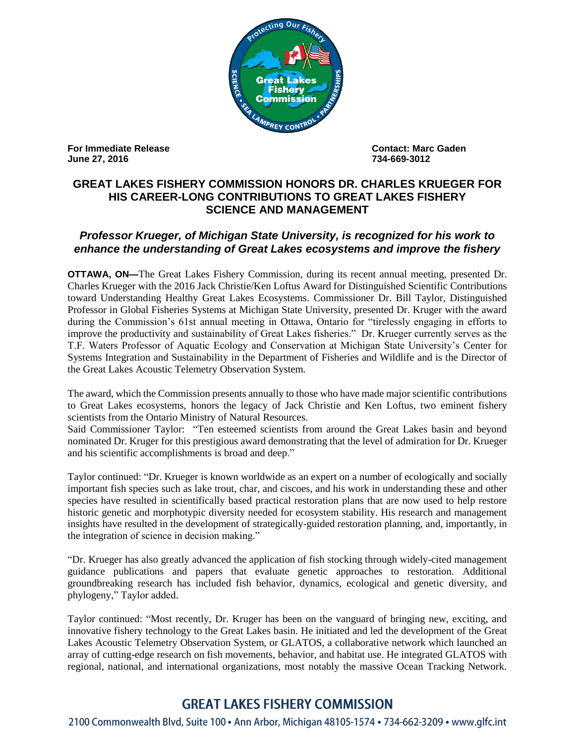

**For Immediate Release Contact: Marc Gaden June 27, 2016 734-669-3012** 

## **GREAT LAKES FISHERY COMMISSION HONORS DR. CHARLES KRUEGER FOR HIS CAREER-LONG CONTRIBUTIONS TO GREAT LAKES FISHERY SCIENCE AND MANAGEMENT**

## *Professor Krueger, of Michigan State University, is recognized for his work to enhance the understanding of Great Lakes ecosystems and improve the fishery*

**OTTAWA, ON—The Great Lakes Fishery Commission, during its recent annual meeting, presented Dr.** Charles Krueger with the 2016 Jack Christie/Ken Loftus Award for Distinguished Scientific Contributions toward Understanding Healthy Great Lakes Ecosystems. Commissioner Dr. Bill Taylor, Distinguished Professor in Global Fisheries Systems at Michigan State University, presented Dr. Kruger with the award during the Commission's 61st annual meeting in Ottawa, Ontario for "tirelessly engaging in efforts to improve the productivity and sustainability of Great Lakes fisheries." Dr. Krueger currently serves as the T.F. Waters Professor of Aquatic Ecology and Conservation at Michigan State University's Center for Systems Integration and Sustainability in the Department of Fisheries and Wildlife and is the Director of the Great Lakes Acoustic Telemetry Observation System.

The award, which the Commission presents annually to those who have made major scientific contributions to Great Lakes ecosystems, honors the legacy of Jack Christie and Ken Loftus, two eminent fishery scientists from the Ontario Ministry of Natural Resources.

Said Commissioner Taylor: "Ten esteemed scientists from around the Great Lakes basin and beyond nominated Dr. Kruger for this prestigious award demonstrating that the level of admiration for Dr. Krueger and his scientific accomplishments is broad and deep."

Taylor continued: "Dr. Krueger is known worldwide as an expert on a number of ecologically and socially important fish species such as lake trout, char, and ciscoes, and his work in understanding these and other species have resulted in scientifically based practical restoration plans that are now used to help restore historic genetic and morphotypic diversity needed for ecosystem stability. His research and management insights have resulted in the development of strategically-guided restoration planning, and, importantly, in the integration of science in decision making."

"Dr. Krueger has also greatly advanced the application of fish stocking through widely-cited management guidance publications and papers that evaluate genetic approaches to restoration. Additional groundbreaking research has included fish behavior, dynamics, ecological and genetic diversity, and phylogeny," Taylor added.

Taylor continued: "Most recently, Dr. Kruger has been on the vanguard of bringing new, exciting, and innovative fishery technology to the Great Lakes basin. He initiated and led the development of the Great Lakes Acoustic Telemetry Observation System, or GLATOS, a collaborative network which launched an array of cutting-edge research on fish movements, behavior, and habitat use. He integrated GLATOS with regional, national, and international organizations, most notably the massive Ocean Tracking Network.

## **GREAT LAKES FISHERY COMMISSION**

2100 Commonwealth Blvd, Suite 100 • Ann Arbor, Michigan 48105-1574 • 734-662-3209 • www.glfc.int